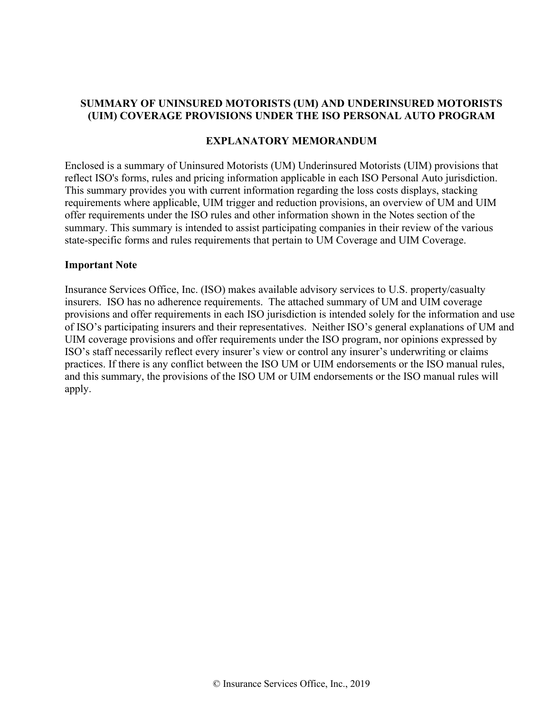#### **SUMMARY OF UNINSURED MOTORISTS (UM) AND UNDERINSURED MOTORISTS (UIM) COVERAGE PROVISIONS UNDER THE ISO PERSONAL AUTO PROGRAM**

#### **EXPLANATORY MEMORANDUM**

Enclosed is a summary of Uninsured Motorists (UM) Underinsured Motorists (UIM) provisions that reflect ISO's forms, rules and pricing information applicable in each ISO Personal Auto jurisdiction. This summary provides you with current information regarding the loss costs displays, stacking requirements where applicable, UIM trigger and reduction provisions, an overview of UM and UIM offer requirements under the ISO rules and other information shown in the Notes section of the summary. This summary is intended to assist participating companies in their review of the various state-specific forms and rules requirements that pertain to UM Coverage and UIM Coverage.

#### **Important Note**

Insurance Services Office, Inc. (ISO) makes available advisory services to U.S. property/casualty insurers. ISO has no adherence requirements. The attached summary of UM and UIM coverage provisions and offer requirements in each ISO jurisdiction is intended solely for the information and use of ISO's participating insurers and their representatives. Neither ISO's general explanations of UM and UIM coverage provisions and offer requirements under the ISO program, nor opinions expressed by ISO's staff necessarily reflect every insurer's view or control any insurer's underwriting or claims practices. If there is any conflict between the ISO UM or UIM endorsements or the ISO manual rules, and this summary, the provisions of the ISO UM or UIM endorsements or the ISO manual rules will apply.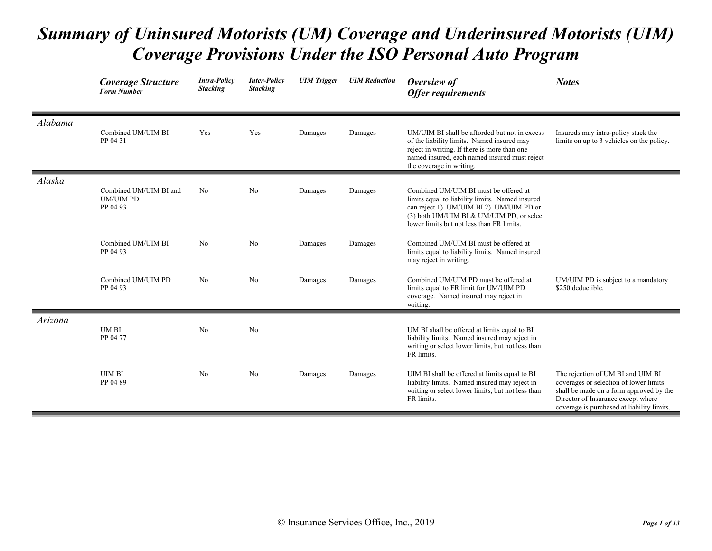|         | <b>Coverage Structure</b><br><b>Form Number</b>        | <b>Intra-Policy</b><br><b>Stacking</b> | <b>Inter-Policy</b><br><b>Stacking</b> | <b>UIM</b> Trigger | <b>UIM</b> Reduction | Overview of<br><b>Offer requirements</b>                                                                                                                                                                                      | <b>Notes</b>                                                                                                                                                                                               |
|---------|--------------------------------------------------------|----------------------------------------|----------------------------------------|--------------------|----------------------|-------------------------------------------------------------------------------------------------------------------------------------------------------------------------------------------------------------------------------|------------------------------------------------------------------------------------------------------------------------------------------------------------------------------------------------------------|
|         |                                                        |                                        |                                        |                    |                      |                                                                                                                                                                                                                               |                                                                                                                                                                                                            |
| Alabama | Combined UM/UIM BI<br>PP 04 31                         | Yes                                    | Yes                                    | Damages            | Damages              | UM/UIM BI shall be afforded but not in excess<br>of the liability limits. Named insured may<br>reject in writing. If there is more than one<br>named insured, each named insured must reject<br>the coverage in writing.      | Insureds may intra-policy stack the<br>limits on up to 3 vehicles on the policy.                                                                                                                           |
| Alaska  | Combined UM/UIM BI and<br><b>UM/UIM PD</b><br>PP 04 93 | N <sub>o</sub>                         | N <sub>o</sub>                         | Damages            | Damages              | Combined UM/UIM BI must be offered at<br>limits equal to liability limits. Named insured<br>can reject 1) UM/UIM BI 2) UM/UIM PD or<br>(3) both UM/UIM BI & UM/UIM PD, or select<br>lower limits but not less than FR limits. |                                                                                                                                                                                                            |
|         | Combined UM/UIM BI<br>PP 04 93                         | N <sub>o</sub>                         | N <sub>o</sub>                         | Damages            | Damages              | Combined UM/UIM BI must be offered at<br>limits equal to liability limits. Named insured<br>may reject in writing.                                                                                                            |                                                                                                                                                                                                            |
|         | Combined UM/UIM PD<br>PP 04 93                         | N <sub>o</sub>                         | No                                     | Damages            | Damages              | Combined UM/UIM PD must be offered at<br>limits equal to FR limit for UM/UIM PD<br>coverage. Named insured may reject in<br>writing.                                                                                          | UM/UIM PD is subject to a mandatory<br>\$250 deductible.                                                                                                                                                   |
| Arizona | <b>UMBI</b><br>PP 04 77                                | No                                     | N <sub>o</sub>                         |                    |                      | UM BI shall be offered at limits equal to BI<br>liability limits. Named insured may reject in<br>writing or select lower limits, but not less than<br>FR limits.                                                              |                                                                                                                                                                                                            |
|         | <b>UIM BI</b><br>PP 04 89                              | N <sub>o</sub>                         | N <sub>o</sub>                         | Damages            | Damages              | UIM BI shall be offered at limits equal to BI<br>liability limits. Named insured may reject in<br>writing or select lower limits, but not less than<br>FR limits.                                                             | The rejection of UM BI and UIM BI<br>coverages or selection of lower limits<br>shall be made on a form approved by the<br>Director of Insurance except where<br>coverage is purchased at liability limits. |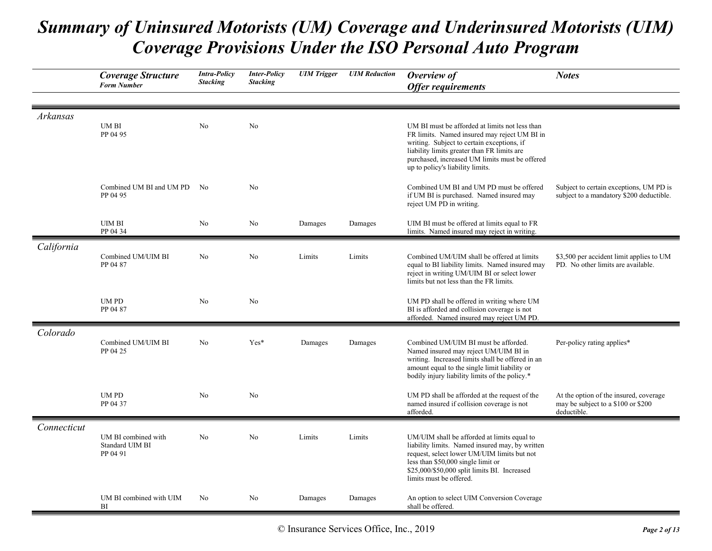|             | <b>Coverage Structure</b><br><b>Form Number</b>    | <b>Intra-Policy</b><br><b>Stacking</b> | <b>Inter-Policy</b><br><b>Stacking</b> | <b>UIM</b> Trigger | <b>UIM</b> Reduction | Overview of<br><b>Offer requirements</b>                                                                                                                                                                                                                                          | <b>Notes</b>                                                                                |
|-------------|----------------------------------------------------|----------------------------------------|----------------------------------------|--------------------|----------------------|-----------------------------------------------------------------------------------------------------------------------------------------------------------------------------------------------------------------------------------------------------------------------------------|---------------------------------------------------------------------------------------------|
| Arkansas    | UM BI<br>PP 04 95                                  | N <sub>o</sub>                         | No                                     |                    |                      | UM BI must be afforded at limits not less than<br>FR limits. Named insured may reject UM BI in<br>writing. Subject to certain exceptions, if<br>liability limits greater than FR limits are<br>purchased, increased UM limits must be offered<br>up to policy's liability limits. |                                                                                             |
|             | Combined UM BI and UM PD<br>PP 04 95               | No.                                    | No                                     |                    |                      | Combined UM BI and UM PD must be offered<br>if UM BI is purchased. Named insured may<br>reject UM PD in writing.                                                                                                                                                                  | Subject to certain exceptions, UM PD is<br>subject to a mandatory \$200 deductible.         |
|             | <b>UIM BI</b><br>PP 04 34                          | No                                     | No                                     | Damages            | Damages              | UIM BI must be offered at limits equal to FR<br>limits. Named insured may reject in writing.                                                                                                                                                                                      |                                                                                             |
| California  | Combined UM/UIM BI<br>PP 04 87                     | N <sub>o</sub>                         | No                                     | Limits             | Limits               | Combined UM/UIM shall be offered at limits<br>equal to BI liability limits. Named insured may<br>reject in writing UM/UIM BI or select lower<br>limits but not less than the FR limits.                                                                                           | \$3,500 per accident limit applies to UM<br>PD. No other limits are available.              |
|             | <b>UMPD</b><br>PP 04 87                            | No                                     | No                                     |                    |                      | UM PD shall be offered in writing where UM<br>BI is afforded and collision coverage is not<br>afforded. Named insured may reject UM PD.                                                                                                                                           |                                                                                             |
| Colorado    | Combined UM/UIM BI<br>PP 04 25                     | No                                     | Yes*                                   | Damages            | Damages              | Combined UM/UIM BI must be afforded.<br>Named insured may reject UM/UIM BI in<br>writing. Increased limits shall be offered in an<br>amount equal to the single limit liability or<br>bodily injury liability limits of the policy.*                                              | Per-policy rating applies*                                                                  |
|             | UM PD<br>PP 04 37                                  | No                                     | No                                     |                    |                      | UM PD shall be afforded at the request of the<br>named insured if collision coverage is not<br>afforded.                                                                                                                                                                          | At the option of the insured, coverage<br>may be subject to a \$100 or \$200<br>deductible. |
| Connecticut | UM BI combined with<br>Standard UIM BI<br>PP 04 91 | No                                     | No                                     | Limits             | Limits               | UM/UIM shall be afforded at limits equal to<br>liability limits. Named insured may, by written<br>request, select lower UM/UIM limits but not<br>less than \$50,000 single limit or<br>\$25,000/\$50,000 split limits BI. Increased<br>limits must be offered.                    |                                                                                             |
|             | UM BI combined with UIM<br>BI                      | No                                     | No                                     | Damages            | Damages              | An option to select UIM Conversion Coverage<br>shall be offered.                                                                                                                                                                                                                  |                                                                                             |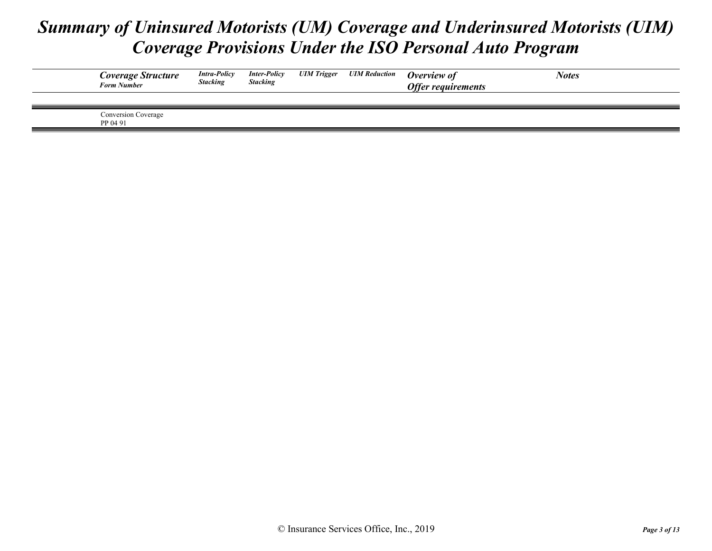| Coverage Structure<br><b>Form Number</b> | <b>Intra-Policy</b><br><b>Stacking</b> | <b>Inter-Policy</b><br><b>Stacking</b> | <b>UIM Trigger</b> | <b>UIM Reduction</b> | Overview of<br><b>Offer requirements</b> | <b>Notes</b> |
|------------------------------------------|----------------------------------------|----------------------------------------|--------------------|----------------------|------------------------------------------|--------------|
|                                          |                                        |                                        |                    |                      |                                          |              |
| Conversion Coverage<br>PP 04 91          |                                        |                                        |                    |                      |                                          |              |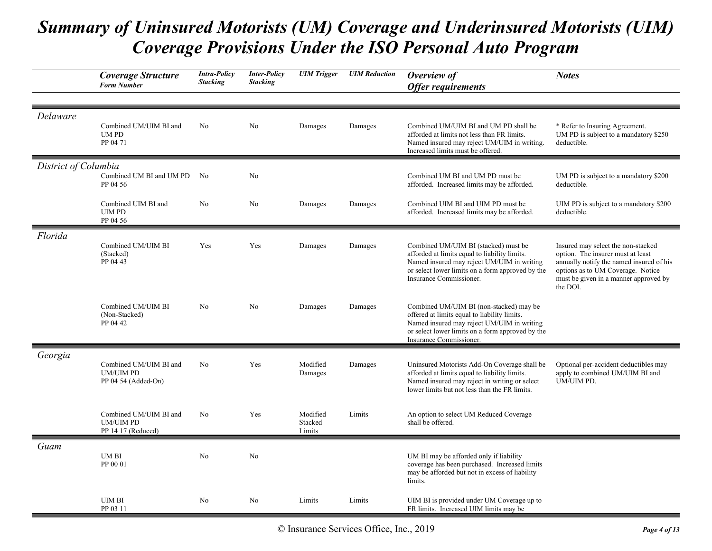|                      | Coverage Structure<br><b>Form Number</b>                          | <b>Intra-Policy</b><br><b>Stacking</b> | <b>Inter-Policy</b><br><b>Stacking</b> | <b>UIM</b> Trigger            | <b>UIM Reduction</b> | Overview of<br><b>Offer requirements</b>                                                                                                                                                                             | <b>Notes</b>                                                                                                                                                                                                  |
|----------------------|-------------------------------------------------------------------|----------------------------------------|----------------------------------------|-------------------------------|----------------------|----------------------------------------------------------------------------------------------------------------------------------------------------------------------------------------------------------------------|---------------------------------------------------------------------------------------------------------------------------------------------------------------------------------------------------------------|
|                      |                                                                   |                                        |                                        |                               |                      |                                                                                                                                                                                                                      |                                                                                                                                                                                                               |
| Delaware             | Combined UM/UIM BI and<br>UM PD<br>PP 04 71                       | No                                     | No                                     | Damages                       | Damages              | Combined UM/UIM BI and UM PD shall be<br>afforded at limits not less than FR limits.<br>Named insured may reject UM/UIM in writing.<br>Increased limits must be offered.                                             | * Refer to Insuring Agreement.<br>UM PD is subject to a mandatory \$250<br>deductible.                                                                                                                        |
| District of Columbia |                                                                   |                                        |                                        |                               |                      |                                                                                                                                                                                                                      |                                                                                                                                                                                                               |
|                      | Combined UM BI and UM PD<br>PP 04 56                              | No                                     | No                                     |                               |                      | Combined UM BI and UM PD must be<br>afforded. Increased limits may be afforded.                                                                                                                                      | UM PD is subject to a mandatory \$200<br>deductible.                                                                                                                                                          |
|                      | Combined UIM BI and<br><b>UIM PD</b><br>PP 04 56                  | No                                     | No                                     | Damages                       | Damages              | Combined UIM BI and UIM PD must be<br>afforded. Increased limits may be afforded.                                                                                                                                    | UIM PD is subject to a mandatory \$200<br>deductible.                                                                                                                                                         |
| Florida              |                                                                   |                                        |                                        |                               |                      |                                                                                                                                                                                                                      |                                                                                                                                                                                                               |
|                      | Combined UM/UIM BI<br>(Stacked)<br>PP 04 43                       | Yes                                    | Yes                                    | Damages                       | Damages              | Combined UM/UIM BI (stacked) must be<br>afforded at limits equal to liability limits.<br>Named insured may reject UM/UIM in writing<br>or select lower limits on a form approved by the<br>Insurance Commissioner.   | Insured may select the non-stacked<br>option. The insurer must at least<br>annually notify the named insured of his<br>options as to UM Coverage. Notice<br>must be given in a manner approved by<br>the DOI. |
|                      | Combined UM/UIM BI<br>(Non-Stacked)<br>PP 04 42                   | No                                     | No                                     | Damages                       | Damages              | Combined UM/UIM BI (non-stacked) may be<br>offered at limits equal to liability limits.<br>Named insured may reject UM/UIM in writing<br>or select lower limits on a form approved by the<br>Insurance Commissioner. |                                                                                                                                                                                                               |
| Georgia              |                                                                   |                                        |                                        |                               |                      |                                                                                                                                                                                                                      |                                                                                                                                                                                                               |
|                      | Combined UM/UIM BI and<br><b>UM/UIM PD</b><br>PP 04 54 (Added-On) | N <sub>o</sub>                         | Yes                                    | Modified<br>Damages           | Damages              | Uninsured Motorists Add-On Coverage shall be<br>afforded at limits equal to liability limits.<br>Named insured may reject in writing or select<br>lower limits but not less than the FR limits.                      | Optional per-accident deductibles may<br>apply to combined UM/UIM BI and<br>UM/UIM PD.                                                                                                                        |
|                      | Combined UM/UIM BI and<br><b>UM/UIM PD</b><br>PP 14 17 (Reduced)  | N <sub>o</sub>                         | Yes                                    | Modified<br>Stacked<br>Limits | Limits               | An option to select UM Reduced Coverage<br>shall be offered.                                                                                                                                                         |                                                                                                                                                                                                               |
| Guam                 |                                                                   |                                        |                                        |                               |                      |                                                                                                                                                                                                                      |                                                                                                                                                                                                               |
|                      | UM BI<br>PP 00 01                                                 | N <sub>o</sub>                         | No                                     |                               |                      | UM BI may be afforded only if liability<br>coverage has been purchased. Increased limits<br>may be afforded but not in excess of liability<br>limits.                                                                |                                                                                                                                                                                                               |
|                      | <b>UIM BI</b><br>PP 03 11                                         | No                                     | No                                     | Limits                        | Limits               | UIM BI is provided under UM Coverage up to<br>FR limits. Increased UIM limits may be                                                                                                                                 |                                                                                                                                                                                                               |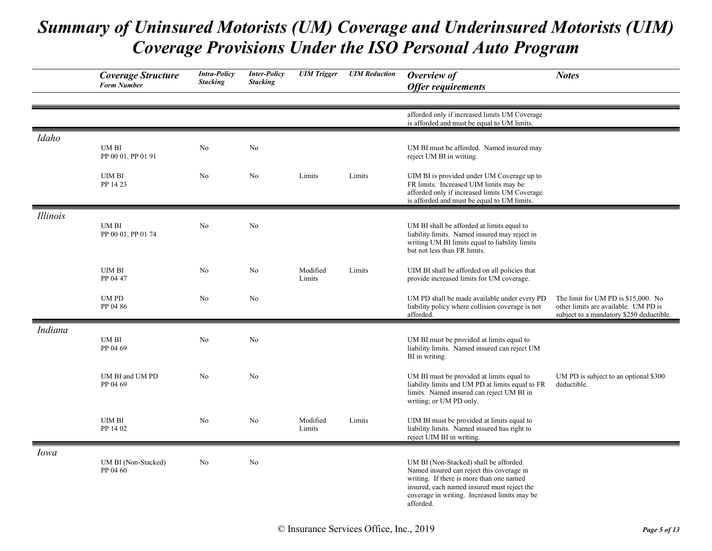|                 | <b>Coverage Structure</b><br><b>Form Number</b> | <b>Intra-Policy</b><br><b>Stacking</b> | <b>Inter-Policy</b><br><b>Stacking</b> | <b>UIM</b> Trigger | <b>UIM</b> Reduction | Overview of<br><b>Offer requirements</b>                                                                                                                                                                                                    | <b>Notes</b>                                                                                                            |
|-----------------|-------------------------------------------------|----------------------------------------|----------------------------------------|--------------------|----------------------|---------------------------------------------------------------------------------------------------------------------------------------------------------------------------------------------------------------------------------------------|-------------------------------------------------------------------------------------------------------------------------|
|                 |                                                 |                                        |                                        |                    |                      | afforded only if increased limits UM Coverage<br>is afforded and must be equal to UM limits.                                                                                                                                                |                                                                                                                         |
| Idaho           | UM BI<br>PP 00 01, PP 01 91                     | No                                     | No                                     |                    |                      | UM BI must be afforded. Named insured may<br>reject UM BI in writing.                                                                                                                                                                       |                                                                                                                         |
|                 | <b>UIM BI</b><br>PP 14 23                       | No                                     | No                                     | Limits             | Limits               | UIM BI is provided under UM Coverage up to<br>FR limits. Increased UIM limits may be<br>afforded only if increased limits UM Coverage<br>is afforded and must be equal to UM limits.                                                        |                                                                                                                         |
| <b>Illinois</b> | UM BI<br>PP 00 01, PP 01 74                     | No                                     | No                                     |                    |                      | UM BI shall be afforded at limits equal to<br>liability limits. Named insured may reject in<br>writing UM BI limits equal to liability limits<br>but not less than FR limits.                                                               |                                                                                                                         |
|                 | <b>UIM BI</b><br>PP 04 47                       | No                                     | No                                     | Modified<br>Limits | Limits               | UIM BI shall be afforded on all policies that<br>provide increased limits for UM coverage.                                                                                                                                                  |                                                                                                                         |
|                 | UM PD<br>PP 04 86                               | No                                     | No                                     |                    |                      | UM PD shall be made available under every PD<br>liability policy where collision coverage is not<br>afforded.                                                                                                                               | The limit for UM PD is \$15,000. No<br>other limits are available. UM PD is<br>subject to a mandatory \$250 deductible. |
| Indiana         | UM BI<br>PP 04 69                               | No                                     | No                                     |                    |                      | UM BI must be provided at limits equal to<br>liability limits. Named insured can reject UM<br>BI in writing.                                                                                                                                |                                                                                                                         |
|                 | UM BI and UM PD<br>PP 04 69                     | N <sub>o</sub>                         | N <sub>o</sub>                         |                    |                      | UM BI must be provided at limits equal to<br>liability limits and UM PD at limits equal to FR<br>limits. Named insured can reject UM BI in<br>writing; or UM PD only.                                                                       | UM PD is subject to an optional \$300<br>deductible.                                                                    |
|                 | <b>UIM BI</b><br>PP 14 02                       | No                                     | No                                     | Modified<br>Limits | Limits               | UIM BI must be provided at limits equal to<br>liability limits. Named insured has right to<br>reject UIM BI in writing.                                                                                                                     |                                                                                                                         |
| Iowa            | UM BI (Non-Stacked)<br>PP 04 60                 | N <sub>o</sub>                         | N <sub>o</sub>                         |                    |                      | UM BI (Non-Stacked) shall be afforded.<br>Named insured can reject this coverage in<br>writing. If there is more than one named<br>insured, each named insured must reject the<br>coverage in writing. Increased limits may be<br>afforded. |                                                                                                                         |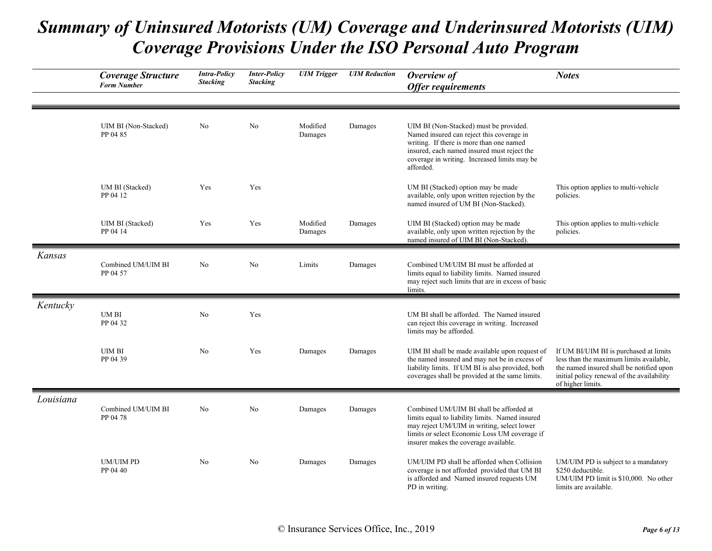|           | <b>Coverage Structure</b><br><b>Form Number</b> | <b>Intra-Policy</b><br><b>Stacking</b> | <b>Inter-Policy</b><br><b>Stacking</b> | <b>UIM Trigger</b>  | <b>UIM</b> Reduction | Overview of<br><b>Offer requirements</b>                                                                                                                                                                                                    | <b>Notes</b>                                                                                                                                                                                     |
|-----------|-------------------------------------------------|----------------------------------------|----------------------------------------|---------------------|----------------------|---------------------------------------------------------------------------------------------------------------------------------------------------------------------------------------------------------------------------------------------|--------------------------------------------------------------------------------------------------------------------------------------------------------------------------------------------------|
|           | UIM BI (Non-Stacked)<br>PP 04 85                | N <sub>o</sub>                         | N <sub>o</sub>                         | Modified<br>Damages | Damages              | UIM BI (Non-Stacked) must be provided.<br>Named insured can reject this coverage in<br>writing. If there is more than one named<br>insured, each named insured must reject the<br>coverage in writing. Increased limits may be<br>afforded. |                                                                                                                                                                                                  |
|           | UM BI (Stacked)<br>PP 04 12                     | Yes                                    | Yes                                    |                     |                      | UM BI (Stacked) option may be made<br>available, only upon written rejection by the<br>named insured of UM BI (Non-Stacked).                                                                                                                | This option applies to multi-vehicle<br>policies.                                                                                                                                                |
|           | UIM BI (Stacked)<br>PP 04 14                    | Yes                                    | Yes                                    | Modified<br>Damages | Damages              | UIM BI (Stacked) option may be made<br>available, only upon written rejection by the<br>named insured of UIM BI (Non-Stacked).                                                                                                              | This option applies to multi-vehicle<br>policies.                                                                                                                                                |
| Kansas    | Combined UM/UIM BI<br>PP 04 57                  | No                                     | N <sub>o</sub>                         | Limits              | Damages              | Combined UM/UIM BI must be afforded at<br>limits equal to liability limits. Named insured<br>may reject such limits that are in excess of basic<br>limits.                                                                                  |                                                                                                                                                                                                  |
| Kentucky  | UM BI<br>PP 04 32                               | No                                     | Yes                                    |                     |                      | UM BI shall be afforded. The Named insured<br>can reject this coverage in writing. Increased<br>limits may be afforded.                                                                                                                     |                                                                                                                                                                                                  |
|           | <b>UIM BI</b><br>PP 04 39                       | No                                     | Yes                                    | Damages             | Damages              | UIM BI shall be made available upon request of<br>the named insured and may not be in excess of<br>liability limits. If UM BI is also provided, both<br>coverages shall be provided at the same limits.                                     | If UM BI/UIM BI is purchased at limits<br>less than the maximum limits available,<br>the named insured shall be notified upon<br>initial policy renewal of the availability<br>of higher limits. |
| Louisiana | Combined UM/UIM BI<br>PP 04 78                  | N <sub>o</sub>                         | N <sub>o</sub>                         | Damages             | Damages              | Combined UM/UIM BI shall be afforded at<br>limits equal to liability limits. Named insured<br>may reject UM/UIM in writing, select lower<br>limits or select Economic Loss UM coverage if<br>insurer makes the coverage available.          |                                                                                                                                                                                                  |
|           | <b>UM/UIM PD</b><br>PP 04 40                    | No                                     | No                                     | Damages             | Damages              | UM/UIM PD shall be afforded when Collision<br>coverage is not afforded provided that UM BI<br>is afforded and Named insured requests UM<br>PD in writing.                                                                                   | UM/UIM PD is subject to a mandatory<br>\$250 deductible.<br>UM/UIM PD limit is \$10,000. No other<br>limits are available.                                                                       |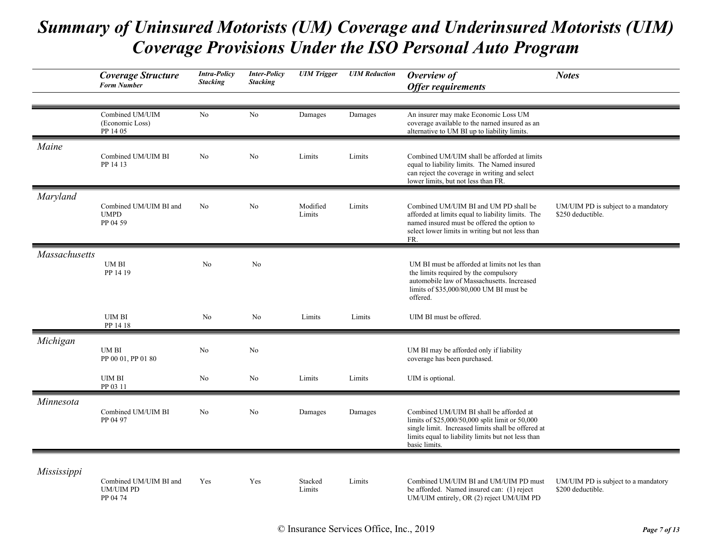|               | Coverage Structure<br><b>Form Number</b>               | <b>Intra-Policy</b><br><b>Stacking</b> | <b>Inter-Policy</b><br><b>Stacking</b> | <b>UIM</b> Trigger | <b>UIM</b> Reduction | Overview of<br><b>Offer requirements</b>                                                                                                                                                                                | <b>Notes</b>                                             |
|---------------|--------------------------------------------------------|----------------------------------------|----------------------------------------|--------------------|----------------------|-------------------------------------------------------------------------------------------------------------------------------------------------------------------------------------------------------------------------|----------------------------------------------------------|
|               | Combined UM/UIM<br>(Economic Loss)<br>PP 14 05         | No                                     | No                                     | Damages            | Damages              | An insurer may make Economic Loss UM<br>coverage available to the named insured as an<br>alternative to UM BI up to liability limits.                                                                                   |                                                          |
| Maine         | Combined UM/UIM BI<br>PP 14 13                         | N <sub>o</sub>                         | N <sub>o</sub>                         | Limits             | Limits               | Combined UM/UIM shall be afforded at limits<br>equal to liability limits. The Named insured<br>can reject the coverage in writing and select<br>lower limits, but not less than FR.                                     |                                                          |
| Maryland      | Combined UM/UIM BI and<br><b>UMPD</b><br>PP 04 59      | N <sub>o</sub>                         | No                                     | Modified<br>Limits | Limits               | Combined UM/UIM BI and UM PD shall be<br>afforded at limits equal to liability limits. The<br>named insured must be offered the option to<br>select lower limits in writing but not less than<br>FR.                    | UM/UIM PD is subject to a mandatory<br>\$250 deductible. |
| Massachusetts | UM BI<br>PP 14 19                                      | No                                     | No                                     |                    |                      | UM BI must be afforded at limits not les than<br>the limits required by the compulsory<br>automobile law of Massachusetts. Increased<br>limits of \$35,000/80,000 UM BI must be<br>offered.                             |                                                          |
|               | <b>UIM BI</b><br>PP 14 18                              | No                                     | No                                     | Limits             | Limits               | UIM BI must be offered.                                                                                                                                                                                                 |                                                          |
| Michigan      | <b>UMBI</b><br>PP 00 01, PP 01 80                      | No                                     | No                                     |                    |                      | UM BI may be afforded only if liability<br>coverage has been purchased.                                                                                                                                                 |                                                          |
|               | <b>UIM BI</b><br>PP 03 11                              | No                                     | No                                     | Limits             | Limits               | UIM is optional.                                                                                                                                                                                                        |                                                          |
| Minnesota     | Combined UM/UIM BI<br>PP 04 97                         | No                                     | No                                     | Damages            | Damages              | Combined UM/UIM BI shall be afforded at<br>limits of \$25,000/50,000 split limit or 50,000<br>single limit. Increased limits shall be offered at<br>limits equal to liability limits but not less than<br>basic limits. |                                                          |
| Mississippi   | Combined UM/UIM BI and<br><b>UM/UIM PD</b><br>PP 04 74 | Yes                                    | Yes                                    | Stacked<br>Limits  | Limits               | Combined UM/UIM BI and UM/UIM PD must<br>be afforded. Named insured can: (1) reject<br>UM/UIM entirely, OR (2) reject UM/UIM PD                                                                                         | UM/UIM PD is subject to a mandatory<br>\$200 deductible. |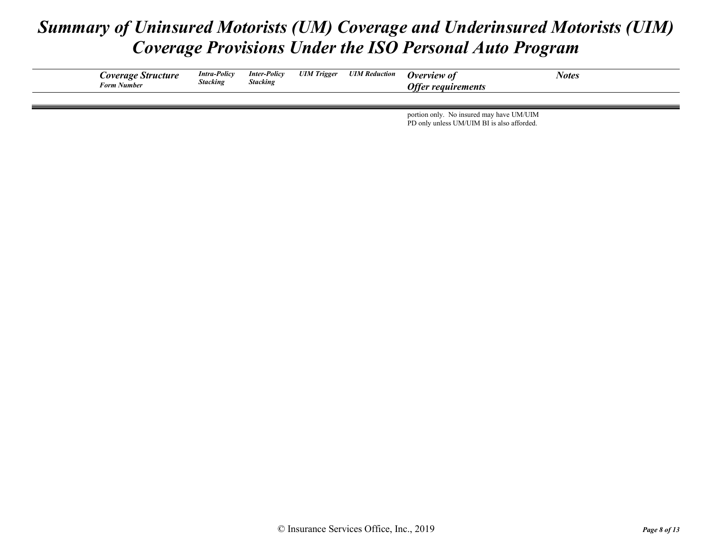| <i>Coverage Structure</i><br>Form Number | <b>Intra-Policy</b><br><b>Stacking</b> | <b>Inter-Policy</b><br><b>Stacking</b> | <b>UIM</b> Trigger | <b>UIM Reduction</b> | Overview of<br><b>Offer requirements</b> | Notes |
|------------------------------------------|----------------------------------------|----------------------------------------|--------------------|----------------------|------------------------------------------|-------|
|                                          |                                        |                                        |                    |                      |                                          |       |

portion only. No insured may have UM/UIM PD only unless UM/UIM BI is also afforded.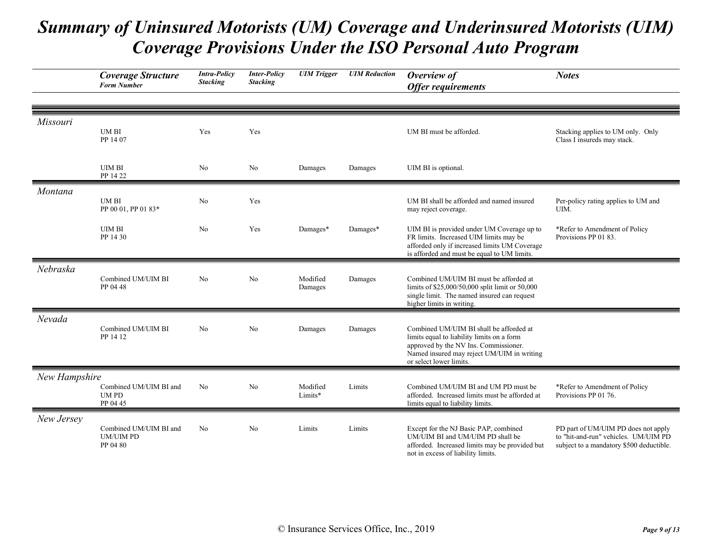|               | <b>Coverage Structure</b><br><b>Form Number</b>        | <b>Intra-Policy</b><br><b>Stacking</b> | <b>Inter-Policy</b><br><b>Stacking</b> | <b>UIM</b> Trigger  | <b>UIM</b> Reduction | Overview of<br><b>Offer requirements</b>                                                                                                                                                                | <b>Notes</b>                                                                                                            |
|---------------|--------------------------------------------------------|----------------------------------------|----------------------------------------|---------------------|----------------------|---------------------------------------------------------------------------------------------------------------------------------------------------------------------------------------------------------|-------------------------------------------------------------------------------------------------------------------------|
|               |                                                        |                                        |                                        |                     |                      |                                                                                                                                                                                                         |                                                                                                                         |
| Missouri      | <b>UMBI</b><br>PP 14 07                                | Yes                                    | Yes                                    |                     |                      | UM BI must be afforded.                                                                                                                                                                                 | Stacking applies to UM only. Only<br>Class I insureds may stack.                                                        |
|               | <b>UIM BI</b><br>PP 14 22                              | No                                     | No                                     | Damages             | Damages              | UIM BI is optional.                                                                                                                                                                                     |                                                                                                                         |
| Montana       | <b>UMBI</b><br>PP 00 01, PP 01 83*                     | No                                     | Yes                                    |                     |                      | UM BI shall be afforded and named insured<br>may reject coverage.                                                                                                                                       | Per-policy rating applies to UM and<br>UIM.                                                                             |
|               | <b>UIM BI</b><br>PP 14 30                              | No                                     | Yes                                    | Damages*            | Damages*             | UIM BI is provided under UM Coverage up to<br>FR limits. Increased UIM limits may be<br>afforded only if increased limits UM Coverage<br>is afforded and must be equal to UM limits.                    | *Refer to Amendment of Policy<br>Provisions PP 01 83.                                                                   |
| Nebraska      | Combined UM/UIM BI<br>PP 04 48                         | No                                     | No                                     | Modified<br>Damages | Damages              | Combined UM/UIM BI must be afforded at<br>limits of \$25,000/50,000 split limit or 50,000<br>single limit. The named insured can request<br>higher limits in writing.                                   |                                                                                                                         |
| Nevada        | Combined UM/UIM BI<br>PP 14 12                         | N <sub>o</sub>                         | No                                     | Damages             | Damages              | Combined UM/UIM BI shall be afforded at<br>limits equal to liability limits on a form<br>approved by the NV Ins. Commissioner.<br>Named insured may reject UM/UIM in writing<br>or select lower limits. |                                                                                                                         |
| New Hampshire |                                                        |                                        |                                        |                     |                      |                                                                                                                                                                                                         |                                                                                                                         |
|               | Combined UM/UIM BI and<br><b>UMPD</b><br>PP 04 45      | No                                     | No                                     | Modified<br>Limits* | Limits               | Combined UM/UIM BI and UM PD must be<br>afforded. Increased limits must be afforded at<br>limits equal to liability limits.                                                                             | *Refer to Amendment of Policy<br>Provisions PP 01 76.                                                                   |
| New Jersey    | Combined UM/UIM BI and<br><b>UM/UIM PD</b><br>PP 04 80 | N <sub>o</sub>                         | N <sub>o</sub>                         | Limits              | Limits               | Except for the NJ Basic PAP, combined<br>UM/UIM BI and UM/UIM PD shall be<br>afforded. Increased limits may be provided but<br>not in excess of liability limits.                                       | PD part of UM/UIM PD does not apply<br>to "hit-and-run" vehicles. UM/UIM PD<br>subject to a mandatory \$500 deductible. |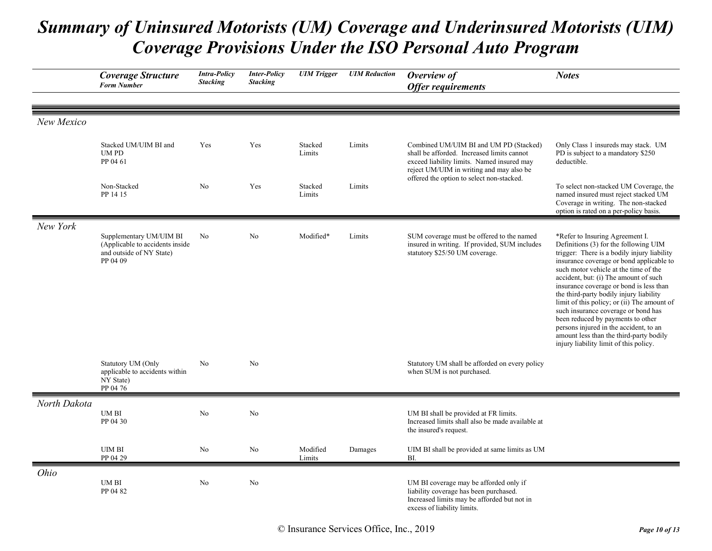|              | Coverage Structure<br><b>Form Number</b>                                                           | <b>Intra-Policy</b><br><b>Stacking</b> | <b>Inter-Policy</b><br><b>Stacking</b> | <b>UIM</b> Trigger | <b>UIM</b> Reduction | Overview of<br><b>Offer requirements</b>                                                                                                                                       | <b>Notes</b>                                                                                                                                                                                                                                                                                                                                                                                                                                                                                                                                                                                          |
|--------------|----------------------------------------------------------------------------------------------------|----------------------------------------|----------------------------------------|--------------------|----------------------|--------------------------------------------------------------------------------------------------------------------------------------------------------------------------------|-------------------------------------------------------------------------------------------------------------------------------------------------------------------------------------------------------------------------------------------------------------------------------------------------------------------------------------------------------------------------------------------------------------------------------------------------------------------------------------------------------------------------------------------------------------------------------------------------------|
| New Mexico   |                                                                                                    |                                        |                                        |                    |                      |                                                                                                                                                                                |                                                                                                                                                                                                                                                                                                                                                                                                                                                                                                                                                                                                       |
|              | Stacked UM/UIM BI and<br><b>UMPD</b><br>PP 04 61                                                   | Yes                                    | Yes                                    | Stacked<br>Limits  | Limits               | Combined UM/UIM BI and UM PD (Stacked)<br>shall be afforded. Increased limits cannot<br>exceed liability limits. Named insured may<br>reject UM/UIM in writing and may also be | Only Class 1 insureds may stack. UM<br>PD is subject to a mandatory \$250<br>deductible.                                                                                                                                                                                                                                                                                                                                                                                                                                                                                                              |
|              | Non-Stacked<br>PP 14 15                                                                            | N <sub>o</sub>                         | Yes                                    | Stacked<br>Limits  | Limits               | offered the option to select non-stacked.                                                                                                                                      | To select non-stacked UM Coverage, the<br>named insured must reject stacked UM<br>Coverage in writing. The non-stacked<br>option is rated on a per-policy basis.                                                                                                                                                                                                                                                                                                                                                                                                                                      |
| New York     | Supplementary UM/UIM BI<br>(Applicable to accidents inside<br>and outside of NY State)<br>PP 04 09 | No                                     | No                                     | Modified*          | Limits               | SUM coverage must be offered to the named<br>insured in writing. If provided, SUM includes<br>statutory \$25/50 UM coverage.                                                   | *Refer to Insuring Agreement I.<br>Definitions (3) for the following UIM<br>trigger: There is a bodily injury liability<br>insurance coverage or bond applicable to<br>such motor vehicle at the time of the<br>accident, but: (i) The amount of such<br>insurance coverage or bond is less than<br>the third-party bodily injury liability<br>limit of this policy; or (ii) The amount of<br>such insurance coverage or bond has<br>been reduced by payments to other<br>persons injured in the accident, to an<br>amount less than the third-party bodily<br>injury liability limit of this policy. |
|              | Statutory UM (Only<br>applicable to accidents within<br>NY State)<br>PP 04 76                      | No                                     | No                                     |                    |                      | Statutory UM shall be afforded on every policy<br>when SUM is not purchased.                                                                                                   |                                                                                                                                                                                                                                                                                                                                                                                                                                                                                                                                                                                                       |
| North Dakota | <b>UMBI</b><br>PP 04 30                                                                            | No                                     | No                                     |                    |                      | UM BI shall be provided at FR limits.<br>Increased limits shall also be made available at<br>the insured's request.                                                            |                                                                                                                                                                                                                                                                                                                                                                                                                                                                                                                                                                                                       |
|              | <b>UIM BI</b><br>PP 04 29                                                                          | No                                     | No                                     | Modified<br>Limits | Damages              | UIM BI shall be provided at same limits as UM<br>BI.                                                                                                                           |                                                                                                                                                                                                                                                                                                                                                                                                                                                                                                                                                                                                       |
| Ohio         | <b>UMBI</b><br>PP 04 82                                                                            | N <sub>o</sub>                         | N <sub>o</sub>                         |                    |                      | UM BI coverage may be afforded only if<br>liability coverage has been purchased.<br>Increased limits may be afforded but not in<br>excess of liability limits.                 |                                                                                                                                                                                                                                                                                                                                                                                                                                                                                                                                                                                                       |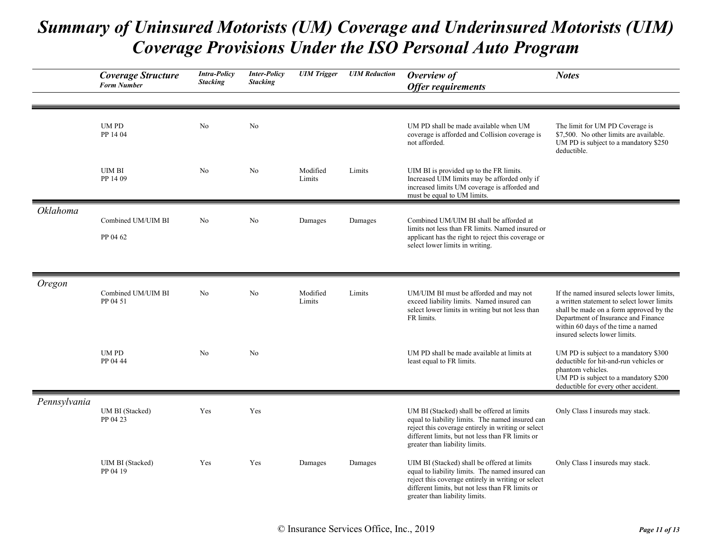|                 | <b>Coverage Structure</b><br><b>Form Number</b> | <b>Intra-Policy</b><br><b>Stacking</b> | <b>Inter-Policy</b><br><b>Stacking</b> | <b>UIM</b> Trigger | <b>UIM Reduction</b> | Overview of<br><b>Offer requirements</b>                                                                                                                                                                                                    | <b>Notes</b>                                                                                                                                                                                                                                      |
|-----------------|-------------------------------------------------|----------------------------------------|----------------------------------------|--------------------|----------------------|---------------------------------------------------------------------------------------------------------------------------------------------------------------------------------------------------------------------------------------------|---------------------------------------------------------------------------------------------------------------------------------------------------------------------------------------------------------------------------------------------------|
|                 | <b>UMPD</b><br>PP 14 04                         | N <sub>o</sub>                         | No                                     |                    |                      | UM PD shall be made available when UM<br>coverage is afforded and Collision coverage is<br>not afforded.                                                                                                                                    | The limit for UM PD Coverage is<br>\$7,500. No other limits are available.<br>UM PD is subject to a mandatory \$250<br>deductible.                                                                                                                |
|                 | <b>UIM BI</b><br>PP 14 09                       | No                                     | No                                     | Modified<br>Limits | Limits               | UIM BI is provided up to the FR limits.<br>Increased UIM limits may be afforded only if<br>increased limits UM coverage is afforded and<br>must be equal to UM limits.                                                                      |                                                                                                                                                                                                                                                   |
| <b>Oklahoma</b> | Combined UM/UIM BI<br>PP 04 62                  | N <sub>o</sub>                         | N <sub>o</sub>                         | Damages            | Damages              | Combined UM/UIM BI shall be afforded at<br>limits not less than FR limits. Named insured or<br>applicant has the right to reject this coverage or<br>select lower limits in writing.                                                        |                                                                                                                                                                                                                                                   |
| Oregon          | Combined UM/UIM BI<br>PP 04 51                  | No                                     | No                                     | Modified<br>Limits | Limits               | UM/UIM BI must be afforded and may not<br>exceed liability limits. Named insured can<br>select lower limits in writing but not less than<br>FR limits.                                                                                      | If the named insured selects lower limits,<br>a written statement to select lower limits<br>shall be made on a form approved by the<br>Department of Insurance and Finance<br>within 60 days of the time a named<br>insured selects lower limits. |
|                 | <b>UMPD</b><br>PP 04 44                         | No                                     | No                                     |                    |                      | UM PD shall be made available at limits at<br>least equal to FR limits.                                                                                                                                                                     | UM PD is subject to a mandatory \$300<br>deductible for hit-and-run vehicles or<br>phantom vehicles.<br>UM PD is subject to a mandatory \$200<br>deductible for every other accident.                                                             |
| Pennsylvania    | UM BI (Stacked)<br>PP 04 23                     | Yes                                    | Yes                                    |                    |                      | UM BI (Stacked) shall be offered at limits<br>equal to liability limits. The named insured can<br>reject this coverage entirely in writing or select<br>different limits, but not less than FR limits or<br>greater than liability limits.  | Only Class I insureds may stack.                                                                                                                                                                                                                  |
|                 | UIM BI (Stacked)<br>PP 04 19                    | Yes                                    | Yes                                    | Damages            | Damages              | UIM BI (Stacked) shall be offered at limits<br>equal to liability limits. The named insured can<br>reject this coverage entirely in writing or select<br>different limits, but not less than FR limits or<br>greater than liability limits. | Only Class I insureds may stack.                                                                                                                                                                                                                  |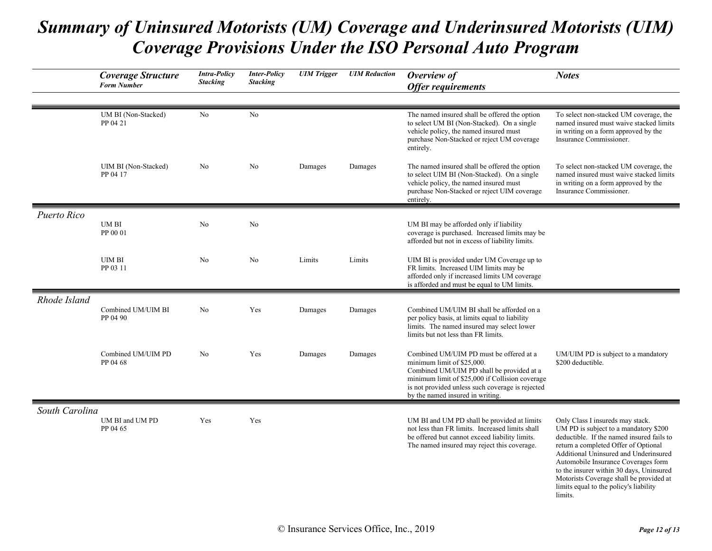|                | Coverage Structure<br><b>Form Number</b> | <b>Intra-Policy</b><br><b>Stacking</b> | <b>Inter-Policy</b><br><b>Stacking</b> | <b>UIM</b> Trigger | <b>UIM</b> Reduction | Overview of<br><b>Offer requirements</b>                                                                                                                                                                                                                      | <b>Notes</b>                                                                                                                                                                                                                                                                                                                                                                               |
|----------------|------------------------------------------|----------------------------------------|----------------------------------------|--------------------|----------------------|---------------------------------------------------------------------------------------------------------------------------------------------------------------------------------------------------------------------------------------------------------------|--------------------------------------------------------------------------------------------------------------------------------------------------------------------------------------------------------------------------------------------------------------------------------------------------------------------------------------------------------------------------------------------|
|                | UM BI (Non-Stacked)<br>PP 04 21          | N <sub>o</sub>                         | N <sub>o</sub>                         |                    |                      | The named insured shall be offered the option<br>to select UM BI (Non-Stacked). On a single<br>vehicle policy, the named insured must<br>purchase Non-Stacked or reject UM coverage<br>entirely.                                                              | To select non-stacked UM coverage, the<br>named insured must waive stacked limits<br>in writing on a form approved by the<br>Insurance Commissioner.                                                                                                                                                                                                                                       |
|                | UIM BI (Non-Stacked)<br>PP 04 17         | No                                     | N <sub>o</sub>                         | Damages            | Damages              | The named insured shall be offered the option<br>to select UIM BI (Non-Stacked). On a single<br>vehicle policy, the named insured must<br>purchase Non-Stacked or reject UIM coverage<br>entirely.                                                            | To select non-stacked UM coverage, the<br>named insured must waive stacked limits<br>in writing on a form approved by the<br>Insurance Commissioner.                                                                                                                                                                                                                                       |
| Puerto Rico    | <b>UMBI</b><br>PP 00 01                  | No                                     | No                                     |                    |                      | UM BI may be afforded only if liability<br>coverage is purchased. Increased limits may be<br>afforded but not in excess of liability limits.                                                                                                                  |                                                                                                                                                                                                                                                                                                                                                                                            |
|                | <b>UIM BI</b><br>PP 03 11                | No                                     | No                                     | Limits             | Limits               | UIM BI is provided under UM Coverage up to<br>FR limits. Increased UIM limits may be<br>afforded only if increased limits UM coverage<br>is afforded and must be equal to UM limits.                                                                          |                                                                                                                                                                                                                                                                                                                                                                                            |
| Rhode Island   | Combined UM/UIM BI<br>PP 04 90           | No                                     | Yes                                    | Damages            | Damages              | Combined UM/UIM BI shall be afforded on a<br>per policy basis, at limits equal to liability<br>limits. The named insured may select lower<br>limits but not less than FR limits.                                                                              |                                                                                                                                                                                                                                                                                                                                                                                            |
|                | Combined UM/UIM PD<br>PP 04 68           | N <sub>o</sub>                         | Yes                                    | Damages            | Damages              | Combined UM/UIM PD must be offered at a<br>minimum limit of \$25,000.<br>Combined UM/UIM PD shall be provided at a<br>minimum limit of \$25,000 if Collision coverage<br>is not provided unless such coverage is rejected<br>by the named insured in writing. | UM/UIM PD is subject to a mandatory<br>\$200 deductible.                                                                                                                                                                                                                                                                                                                                   |
| South Carolina | UM BI and UM PD<br>PP 04 65              | Yes                                    | Yes                                    |                    |                      | UM BI and UM PD shall be provided at limits<br>not less than FR limits. Increased limits shall<br>be offered but cannot exceed liability limits.<br>The named insured may reject this coverage.                                                               | Only Class I insureds may stack.<br>UM PD is subject to a mandatory \$200<br>deductible. If the named insured fails to<br>return a completed Offer of Optional<br>Additional Uninsured and Underinsured<br>Automobile Insurance Coverages form<br>to the insurer within 30 days, Uninsured<br>Motorists Coverage shall be provided at<br>limits equal to the policy's liability<br>limits. |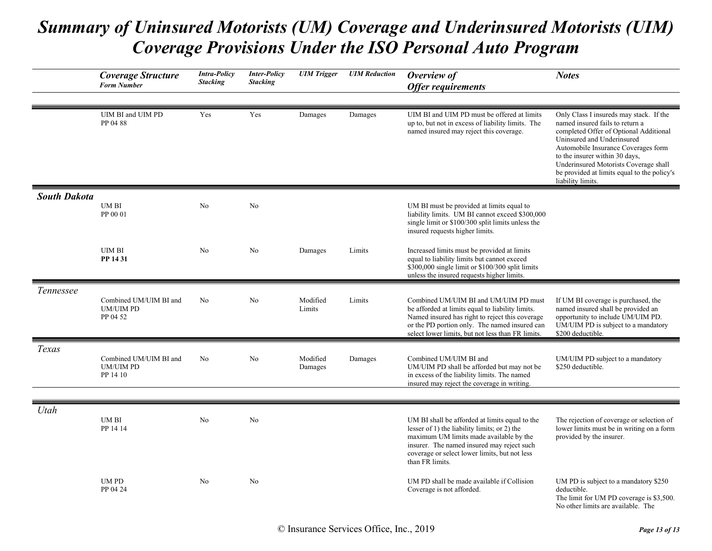|                     | <b>Coverage Structure</b><br><b>Form Number</b>        | <b>Intra-Policy</b><br><b>Stacking</b> | <b>Inter-Policy</b><br><b>Stacking</b> | <b>UIM</b> Trigger  | <b>UIM</b> Reduction | Overview of<br><b>Offer requirements</b>                                                                                                                                                                                                                    | <b>Notes</b>                                                                                                                                                                              |
|---------------------|--------------------------------------------------------|----------------------------------------|----------------------------------------|---------------------|----------------------|-------------------------------------------------------------------------------------------------------------------------------------------------------------------------------------------------------------------------------------------------------------|-------------------------------------------------------------------------------------------------------------------------------------------------------------------------------------------|
|                     | UIM BI and UIM PD<br>PP 04 88                          | Yes                                    | Yes                                    | Damages             | Damages              | UIM BI and UIM PD must be offered at limits<br>up to, but not in excess of liability limits. The<br>named insured may reject this coverage.                                                                                                                 | Only Class I insureds may stack. If the<br>named insured fails to return a<br>completed Offer of Optional Additional<br>Uninsured and Underinsured<br>Automobile Insurance Coverages form |
|                     |                                                        |                                        |                                        |                     |                      |                                                                                                                                                                                                                                                             | to the insurer within 30 days,<br>Underinsured Motorists Coverage shall<br>be provided at limits equal to the policy's<br>liability limits.                                               |
| <b>South Dakota</b> | UM BI<br>PP 00 01                                      | No                                     | No                                     |                     |                      | UM BI must be provided at limits equal to<br>liability limits. UM BI cannot exceed \$300,000<br>single limit or \$100/300 split limits unless the<br>insured requests higher limits.                                                                        |                                                                                                                                                                                           |
|                     | <b>UIM BI</b><br>PP 14 31                              | No                                     | No                                     | Damages             | Limits               | Increased limits must be provided at limits<br>equal to liability limits but cannot exceed<br>\$300,000 single limit or \$100/300 split limits<br>unless the insured requests higher limits.                                                                |                                                                                                                                                                                           |
| <i>Tennessee</i>    | Combined UM/UIM BI and<br><b>UM/UIM PD</b><br>PP 04 52 | No                                     | No                                     | Modified<br>Limits  | Limits               | Combined UM/UIM BI and UM/UIM PD must<br>be afforded at limits equal to liability limits.<br>Named insured has right to reject this coverage<br>or the PD portion only. The named insured can<br>select lower limits, but not less than FR limits.          | If UM BI coverage is purchased, the<br>named insured shall be provided an<br>opportunity to include UM/UIM PD.<br>UM/UIM PD is subject to a mandatory<br>\$200 deductible.                |
| Texas               | Combined UM/UIM BI and<br><b>UM/UIM PD</b><br>PP 14 10 | No                                     | No                                     | Modified<br>Damages | Damages              | Combined UM/UIM BI and<br>UM/UIM PD shall be afforded but may not be<br>in excess of the liability limits. The named<br>insured may reject the coverage in writing.                                                                                         | UM/UIM PD subject to a mandatory<br>\$250 deductible.                                                                                                                                     |
|                     |                                                        |                                        |                                        |                     |                      |                                                                                                                                                                                                                                                             |                                                                                                                                                                                           |
| Utah                | UM BI<br>PP 14 14                                      | No                                     | No                                     |                     |                      | UM BI shall be afforded at limits equal to the<br>lesser of 1) the liability limits; or 2) the<br>maximum UM limits made available by the<br>insurer. The named insured may reject such<br>coverage or select lower limits, but not less<br>than FR limits. | The rejection of coverage or selection of<br>lower limits must be in writing on a form<br>provided by the insurer.                                                                        |
|                     | <b>UMPD</b><br>PP 04 24                                | No                                     | No                                     |                     |                      | UM PD shall be made available if Collision<br>Coverage is not afforded.                                                                                                                                                                                     | UM PD is subject to a mandatory \$250<br>deductible.<br>The limit for UM PD coverage is \$3,500.<br>No other limits are available. The                                                    |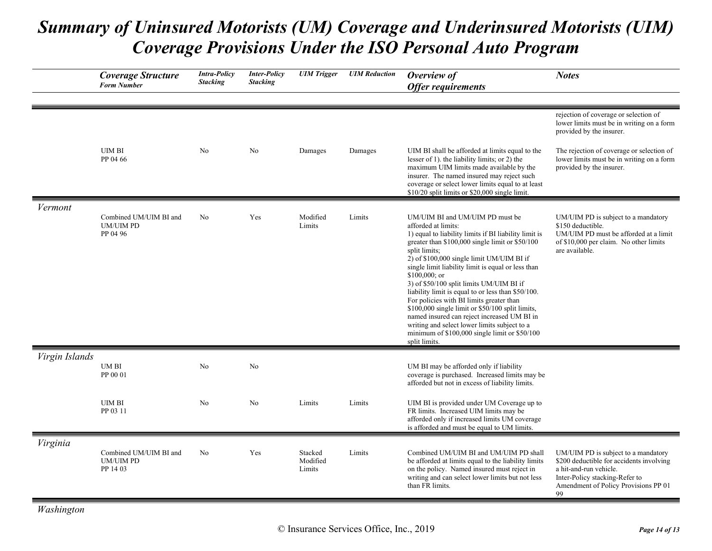|                | Coverage Structure<br><b>Form Number</b>               | <b>Intra-Policy</b><br><b>Stacking</b> | <b>Inter-Policy</b><br><b>Stacking</b> | <b>UIM</b> Trigger            | <b>UIM Reduction</b> | Overview of<br><b>Offer requirements</b>                                                                                                                                                                                                                                                                                                                                                                                                                                                                                                                                                                                                                                    | <b>Notes</b>                                                                                                                                                                              |
|----------------|--------------------------------------------------------|----------------------------------------|----------------------------------------|-------------------------------|----------------------|-----------------------------------------------------------------------------------------------------------------------------------------------------------------------------------------------------------------------------------------------------------------------------------------------------------------------------------------------------------------------------------------------------------------------------------------------------------------------------------------------------------------------------------------------------------------------------------------------------------------------------------------------------------------------------|-------------------------------------------------------------------------------------------------------------------------------------------------------------------------------------------|
|                |                                                        |                                        |                                        |                               |                      |                                                                                                                                                                                                                                                                                                                                                                                                                                                                                                                                                                                                                                                                             |                                                                                                                                                                                           |
|                |                                                        |                                        |                                        |                               |                      |                                                                                                                                                                                                                                                                                                                                                                                                                                                                                                                                                                                                                                                                             | rejection of coverage or selection of<br>lower limits must be in writing on a form<br>provided by the insurer.                                                                            |
|                | <b>UIM BI</b><br>PP 04 66                              | No                                     | No                                     | Damages                       | Damages              | UIM BI shall be afforded at limits equal to the<br>lesser of 1). the liability limits; or 2) the<br>maximum UIM limits made available by the<br>insurer. The named insured may reject such<br>coverage or select lower limits equal to at least<br>\$10/20 split limits or \$20,000 single limit.                                                                                                                                                                                                                                                                                                                                                                           | The rejection of coverage or selection of<br>lower limits must be in writing on a form<br>provided by the insurer.                                                                        |
| Vermont        |                                                        |                                        |                                        |                               |                      |                                                                                                                                                                                                                                                                                                                                                                                                                                                                                                                                                                                                                                                                             |                                                                                                                                                                                           |
|                | Combined UM/UIM BI and<br><b>UM/UIM PD</b><br>PP 04 96 | No                                     | Yes                                    | Modified<br>Limits            | Limits               | UM/UIM BI and UM/UIM PD must be<br>afforded at limits:<br>1) equal to liability limits if BI liability limit is<br>greater than \$100,000 single limit or \$50/100<br>split limits;<br>2) of \$100,000 single limit UM/UIM BI if<br>single limit liability limit is equal or less than<br>$$100,000;$ or<br>3) of \$50/100 split limits UM/UIM BI if<br>liability limit is equal to or less than \$50/100.<br>For policies with BI limits greater than<br>\$100,000 single limit or \$50/100 split limits,<br>named insured can reject increased UM BI in<br>writing and select lower limits subject to a<br>minimum of \$100,000 single limit or \$50/100<br>split limits. | UM/UIM PD is subject to a mandatory<br>\$150 deductible.<br>UM/UIM PD must be afforded at a limit<br>of \$10,000 per claim. No other limits<br>are available.                             |
| Virgin Islands |                                                        |                                        |                                        |                               |                      |                                                                                                                                                                                                                                                                                                                                                                                                                                                                                                                                                                                                                                                                             |                                                                                                                                                                                           |
|                | UM BI<br>PP 00 01                                      | N <sub>o</sub>                         | No                                     |                               |                      | UM BI may be afforded only if liability<br>coverage is purchased. Increased limits may be<br>afforded but not in excess of liability limits.                                                                                                                                                                                                                                                                                                                                                                                                                                                                                                                                |                                                                                                                                                                                           |
|                | <b>UIM BI</b><br>PP 03 11                              | No                                     | No                                     | Limits                        | Limits               | UIM BI is provided under UM Coverage up to<br>FR limits. Increased UIM limits may be<br>afforded only if increased limits UM coverage<br>is afforded and must be equal to UM limits.                                                                                                                                                                                                                                                                                                                                                                                                                                                                                        |                                                                                                                                                                                           |
| Virginia       |                                                        |                                        |                                        |                               |                      |                                                                                                                                                                                                                                                                                                                                                                                                                                                                                                                                                                                                                                                                             |                                                                                                                                                                                           |
|                | Combined UM/UIM BI and<br><b>UM/UIM PD</b><br>PP 14 03 | No                                     | Yes                                    | Stacked<br>Modified<br>Limits | Limits               | Combined UM/UIM BI and UM/UIM PD shall<br>be afforded at limits equal to the liability limits<br>on the policy. Named insured must reject in<br>writing and can select lower limits but not less<br>than FR limits.                                                                                                                                                                                                                                                                                                                                                                                                                                                         | UM/UIM PD is subject to a mandatory<br>\$200 deductible for accidents involving<br>a hit-and-run vehicle.<br>Inter-Policy stacking-Refer to<br>Amendment of Policy Provisions PP 01<br>99 |

*Washington*